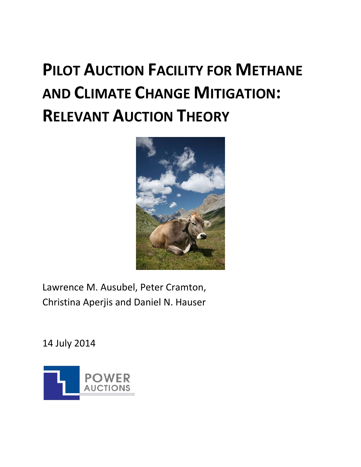# **PILOT AUCTION FACILITY FOR METHANE AND CLIMATE CHANGE MITIGATION: RELEVANT AUCTION THEORY**



Lawrence M. Ausubel, Peter Cramton, Christina Aperjis and Daniel N. Hauser

14 July 2014

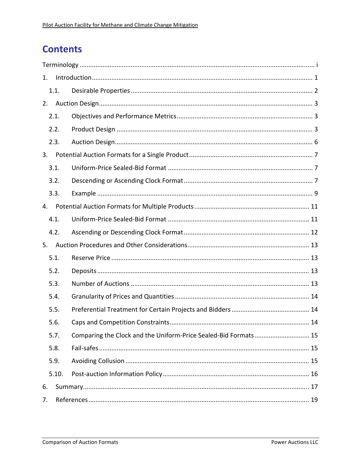# **Contents**

| 1. |       |                                                                 |  |  |
|----|-------|-----------------------------------------------------------------|--|--|
|    | 1.1.  |                                                                 |  |  |
| 2. |       |                                                                 |  |  |
|    | 2.1.  |                                                                 |  |  |
|    | 2.2.  |                                                                 |  |  |
|    | 2.3.  |                                                                 |  |  |
| 3. |       |                                                                 |  |  |
|    | 3.1.  |                                                                 |  |  |
|    | 3.2.  |                                                                 |  |  |
|    | 3.3.  |                                                                 |  |  |
| 4. |       |                                                                 |  |  |
|    | 4.1.  |                                                                 |  |  |
|    | 4.2.  |                                                                 |  |  |
| 5. |       |                                                                 |  |  |
|    | 5.1.  |                                                                 |  |  |
|    | 5.2.  |                                                                 |  |  |
|    | 5.3.  |                                                                 |  |  |
|    | 5.4.  |                                                                 |  |  |
|    | 5.5.  |                                                                 |  |  |
|    | 5.6.  |                                                                 |  |  |
|    | 5.7.  | Comparing the Clock and the Uniform-Price Sealed-Bid Formats 15 |  |  |
|    | 5.8.  |                                                                 |  |  |
|    | 5.9.  |                                                                 |  |  |
|    | 5.10. |                                                                 |  |  |
| 6. |       |                                                                 |  |  |
| 7. |       |                                                                 |  |  |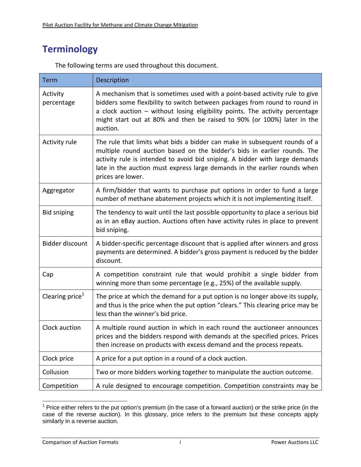# **Terminology**

| <b>Term</b>                 | Description                                                                                                                                                                                                                                                                                                                             |
|-----------------------------|-----------------------------------------------------------------------------------------------------------------------------------------------------------------------------------------------------------------------------------------------------------------------------------------------------------------------------------------|
| Activity<br>percentage      | A mechanism that is sometimes used with a point-based activity rule to give<br>bidders some flexibility to switch between packages from round to round in<br>a clock auction - without losing eligibility points. The activity percentage<br>might start out at 80% and then be raised to 90% (or 100%) later in the<br>auction.        |
| Activity rule               | The rule that limits what bids a bidder can make in subsequent rounds of a<br>multiple round auction based on the bidder's bids in earlier rounds. The<br>activity rule is intended to avoid bid sniping. A bidder with large demands<br>late in the auction must express large demands in the earlier rounds when<br>prices are lower. |
| Aggregator                  | A firm/bidder that wants to purchase put options in order to fund a large<br>number of methane abatement projects which it is not implementing itself.                                                                                                                                                                                  |
| <b>Bid sniping</b>          | The tendency to wait until the last possible opportunity to place a serious bid<br>as in an eBay auction. Auctions often have activity rules in place to prevent<br>bid sniping.                                                                                                                                                        |
| <b>Bidder discount</b>      | A bidder-specific percentage discount that is applied after winners and gross<br>payments are determined. A bidder's gross payment is reduced by the bidder<br>discount.                                                                                                                                                                |
| Cap                         | A competition constraint rule that would prohibit a single bidder from<br>winning more than some percentage (e.g., 25%) of the available supply.                                                                                                                                                                                        |
| Clearing price <sup>1</sup> | The price at which the demand for a put option is no longer above its supply,<br>and thus is the price when the put option "clears." This clearing price may be<br>less than the winner's bid price.                                                                                                                                    |
| Clock auction               | A multiple round auction in which in each round the auctioneer announces<br>prices and the bidders respond with demands at the specified prices. Prices<br>then increase on products with excess demand and the process repeats.                                                                                                        |
| Clock price                 | A price for a put option in a round of a clock auction.                                                                                                                                                                                                                                                                                 |
| Collusion                   | Two or more bidders working together to manipulate the auction outcome.                                                                                                                                                                                                                                                                 |
| Competition                 | A rule designed to encourage competition. Competition constraints may be                                                                                                                                                                                                                                                                |

The following terms are used throughout this document.

THE TRICH TRICH TRICH TRICH TRICH TRICH TRICH TRICH TRICH TRICH TRICH TRICH TRICH TRICH TRICH TRICH TRICH TRI<br>Thrice either refers to the put option's premium (in the case of a forward auction) or the strike price (in the case of the reverse auction). In this glossary, price refers to the premium but these concepts apply similarly in a reverse auction.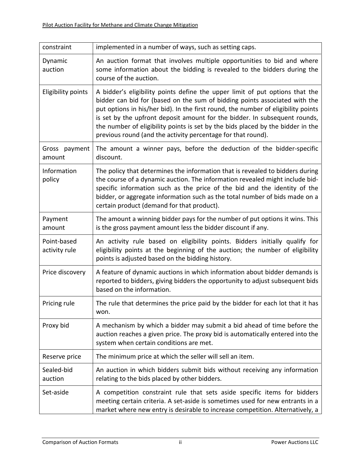| constraint                   | implemented in a number of ways, such as setting caps.                                                                                                                                                                                                                                                                                                                                                                                                                           |
|------------------------------|----------------------------------------------------------------------------------------------------------------------------------------------------------------------------------------------------------------------------------------------------------------------------------------------------------------------------------------------------------------------------------------------------------------------------------------------------------------------------------|
| Dynamic<br>auction           | An auction format that involves multiple opportunities to bid and where<br>some information about the bidding is revealed to the bidders during the<br>course of the auction.                                                                                                                                                                                                                                                                                                    |
| <b>Eligibility points</b>    | A bidder's eligibility points define the upper limit of put options that the<br>bidder can bid for (based on the sum of bidding points associated with the<br>put options in his/her bid). In the first round, the number of eligibility points<br>is set by the upfront deposit amount for the bidder. In subsequent rounds,<br>the number of eligibility points is set by the bids placed by the bidder in the<br>previous round (and the activity percentage for that round). |
| Gross<br>payment<br>amount   | The amount a winner pays, before the deduction of the bidder-specific<br>discount.                                                                                                                                                                                                                                                                                                                                                                                               |
| Information<br>policy        | The policy that determines the information that is revealed to bidders during<br>the course of a dynamic auction. The information revealed might include bid-<br>specific information such as the price of the bid and the identity of the<br>bidder, or aggregate information such as the total number of bids made on a<br>certain product (demand for that product).                                                                                                          |
| Payment<br>amount            | The amount a winning bidder pays for the number of put options it wins. This<br>is the gross payment amount less the bidder discount if any.                                                                                                                                                                                                                                                                                                                                     |
| Point-based<br>activity rule | An activity rule based on eligibility points. Bidders initially qualify for<br>eligibility points at the beginning of the auction; the number of eligibility<br>points is adjusted based on the bidding history.                                                                                                                                                                                                                                                                 |
| Price discovery              | A feature of dynamic auctions in which information about bidder demands is<br>reported to bidders, giving bidders the opportunity to adjust subsequent bids<br>based on the information.                                                                                                                                                                                                                                                                                         |
| Pricing rule                 | The rule that determines the price paid by the bidder for each lot that it has<br>won.                                                                                                                                                                                                                                                                                                                                                                                           |
| Proxy bid                    | A mechanism by which a bidder may submit a bid ahead of time before the<br>auction reaches a given price. The proxy bid is automatically entered into the<br>system when certain conditions are met.                                                                                                                                                                                                                                                                             |
| Reserve price                | The minimum price at which the seller will sell an item.                                                                                                                                                                                                                                                                                                                                                                                                                         |
| Sealed-bid<br>auction        | An auction in which bidders submit bids without receiving any information<br>relating to the bids placed by other bidders.                                                                                                                                                                                                                                                                                                                                                       |
| Set-aside                    | A competition constraint rule that sets aside specific items for bidders<br>meeting certain criteria. A set-aside is sometimes used for new entrants in a<br>market where new entry is desirable to increase competition. Alternatively, a                                                                                                                                                                                                                                       |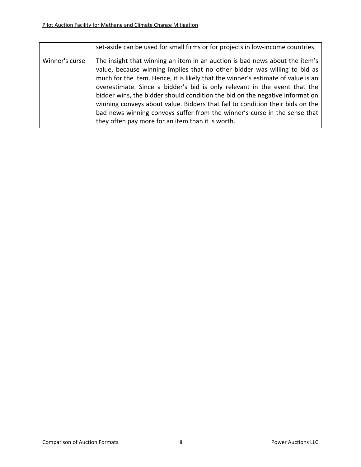|                | set-aside can be used for small firms or for projects in low-income countries.                                                                                                                                                                                                                                                                                                                                                                                                                                                                                                                                               |
|----------------|------------------------------------------------------------------------------------------------------------------------------------------------------------------------------------------------------------------------------------------------------------------------------------------------------------------------------------------------------------------------------------------------------------------------------------------------------------------------------------------------------------------------------------------------------------------------------------------------------------------------------|
| Winner's curse | The insight that winning an item in an auction is bad news about the item's<br>value, because winning implies that no other bidder was willing to bid as<br>much for the item. Hence, it is likely that the winner's estimate of value is an<br>overestimate. Since a bidder's bid is only relevant in the event that the<br>bidder wins, the bidder should condition the bid on the negative information<br>winning conveys about value. Bidders that fail to condition their bids on the<br>bad news winning conveys suffer from the winner's curse in the sense that<br>they often pay more for an item than it is worth. |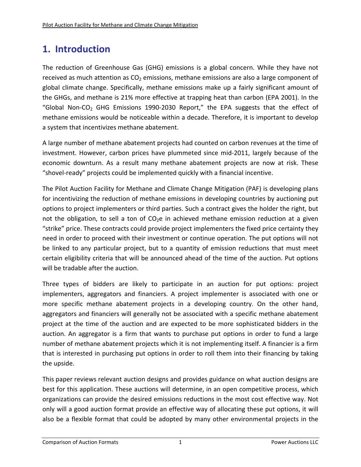# **1. Introduction**

The reduction of Greenhouse Gas (GHG) emissions is a global concern. While they have not received as much attention as  $CO<sub>2</sub>$  emissions, methane emissions are also a large component of global climate change. Specifically, methane emissions make up a fairly significant amount of the GHGs, and methane is 21% more effective at trapping heat than carbon (EPA 2001). In the "Global Non-CO<sub>2</sub> GHG Emissions 1990-2030 Report," the EPA suggests that the effect of methane emissions would be noticeable within a decade. Therefore, it is important to develop a system that incentivizes methane abatement.

A large number of methane abatement projects had counted on carbon revenues at the time of investment. However, carbon prices have plummeted since mid‐2011, largely because of the economic downturn. As a result many methane abatement projects are now at risk. These "shovel‐ready" projects could be implemented quickly with a financial incentive.

The Pilot Auction Facility for Methane and Climate Change Mitigation (PAF) is developing plans for incentivizing the reduction of methane emissions in developing countries by auctioning put options to project implementers or third parties. Such a contract gives the holder the right, but not the obligation, to sell a ton of  $CO<sub>2</sub>e$  in achieved methane emission reduction at a given "strike" price. These contracts could provide project implementers the fixed price certainty they need in order to proceed with their investment or continue operation. The put options will not be linked to any particular project, but to a quantity of emission reductions that must meet certain eligibility criteria that will be announced ahead of the time of the auction. Put options will be tradable after the auction.

Three types of bidders are likely to participate in an auction for put options: project implementers, aggregators and financiers. A project implementer is associated with one or more specific methane abatement projects in a developing country. On the other hand, aggregators and financiers will generally not be associated with a specific methane abatement project at the time of the auction and are expected to be more sophisticated bidders in the auction. An aggregator is a firm that wants to purchase put options in order to fund a large number of methane abatement projects which it is not implementing itself. A financier is a firm that is interested in purchasing put options in order to roll them into their financing by taking the upside.

This paper reviews relevant auction designs and provides guidance on what auction designs are best for this application. These auctions will determine, in an open competitive process, which organizations can provide the desired emissions reductions in the most cost effective way. Not only will a good auction format provide an effective way of allocating these put options, it will also be a flexible format that could be adopted by many other environmental projects in the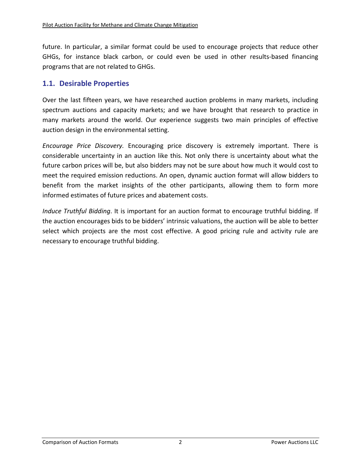future. In particular, a similar format could be used to encourage projects that reduce other GHGs, for instance black carbon, or could even be used in other results-based financing programs that are not related to GHGs.

### **1.1. Desirable Properties**

Over the last fifteen years, we have researched auction problems in many markets, including spectrum auctions and capacity markets; and we have brought that research to practice in many markets around the world. Our experience suggests two main principles of effective auction design in the environmental setting.

*Encourage Price Discovery.* Encouraging price discovery is extremely important. There is considerable uncertainty in an auction like this. Not only there is uncertainty about what the future carbon prices will be, but also bidders may not be sure about how much it would cost to meet the required emission reductions. An open, dynamic auction format will allow bidders to benefit from the market insights of the other participants, allowing them to form more informed estimates of future prices and abatement costs.

*Induce Truthful Bidding*. It is important for an auction format to encourage truthful bidding. If the auction encourages bids to be bidders' intrinsic valuations, the auction will be able to better select which projects are the most cost effective. A good pricing rule and activity rule are necessary to encourage truthful bidding.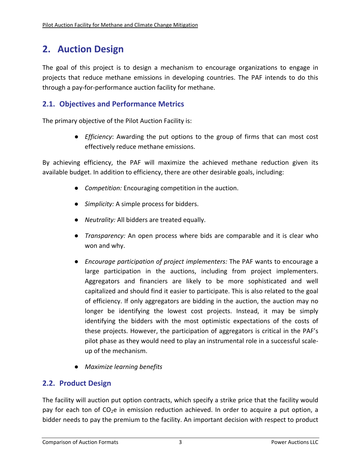# **2. Auction Design**

The goal of this project is to design a mechanism to encourage organizations to engage in projects that reduce methane emissions in developing countries. The PAF intends to do this through a pay‐for‐performance auction facility for methane.

# **2.1. Objectives and Performance Metrics**

The primary objective of the Pilot Auction Facility is:

● *Efficiency*: Awarding the put options to the group of firms that can most cost effectively reduce methane emissions.

By achieving efficiency, the PAF will maximize the achieved methane reduction given its available budget. In addition to efficiency, there are other desirable goals, including:

- *Competition:* Encouraging competition in the auction.
- *Simplicity:* A simple process for bidders.
- *Neutrality:* All bidders are treated equally.
- *Transparency:* An open process where bids are comparable and it is clear who won and why.
- *Encourage participation of project implementers:* The PAF wants to encourage a large participation in the auctions, including from project implementers. Aggregators and financiers are likely to be more sophisticated and well capitalized and should find it easier to participate. This is also related to the goal of efficiency. If only aggregators are bidding in the auction, the auction may no longer be identifying the lowest cost projects. Instead, it may be simply identifying the bidders with the most optimistic expectations of the costs of these projects. However, the participation of aggregators is critical in the PAF's pilot phase as they would need to play an instrumental role in a successful scale‐ up of the mechanism.
- *Maximize learning benefits*

# **2.2. Product Design**

The facility will auction put option contracts, which specify a strike price that the facility would pay for each ton of  $CO<sub>2</sub>e$  in emission reduction achieved. In order to acquire a put option, a bidder needs to pay the premium to the facility. An important decision with respect to product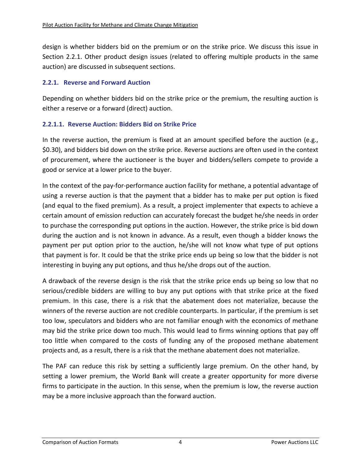design is whether bidders bid on the premium or on the strike price. We discuss this issue in Section 2.2.1. Other product design issues (related to offering multiple products in the same auction) are discussed in subsequent sections.

#### **2.2.1. Reverse and Forward Auction**

Depending on whether bidders bid on the strike price or the premium, the resulting auction is either a reserve or a forward (direct) auction.

#### **2.2.1.1. Reverse Auction: Bidders Bid on Strike Price**

In the reverse auction, the premium is fixed at an amount specified before the auction (e.g., \$0.30), and bidders bid down on the strike price. Reverse auctions are often used in the context of procurement, where the auctioneer is the buyer and bidders/sellers compete to provide a good or service at a lower price to the buyer.

In the context of the pay‐for‐performance auction facility for methane, a potential advantage of using a reverse auction is that the payment that a bidder has to make per put option is fixed (and equal to the fixed premium). As a result, a project implementer that expects to achieve a certain amount of emission reduction can accurately forecast the budget he/she needs in order to purchase the corresponding put options in the auction. However, the strike price is bid down during the auction and is not known in advance. As a result, even though a bidder knows the payment per put option prior to the auction, he/she will not know what type of put options that payment is for. It could be that the strike price ends up being so low that the bidder is not interesting in buying any put options, and thus he/she drops out of the auction.

A drawback of the reverse design is the risk that the strike price ends up being so low that no serious/credible bidders are willing to buy any put options with that strike price at the fixed premium. In this case, there is a risk that the abatement does not materialize, because the winners of the reverse auction are not credible counterparts. In particular, if the premium is set too low, speculators and bidders who are not familiar enough with the economics of methane may bid the strike price down too much. This would lead to firms winning options that pay off too little when compared to the costs of funding any of the proposed methane abatement projects and, as a result, there is a risk that the methane abatement does not materialize.

The PAF can reduce this risk by setting a sufficiently large premium. On the other hand, by setting a lower premium, the World Bank will create a greater opportunity for more diverse firms to participate in the auction. In this sense, when the premium is low, the reverse auction may be a more inclusive approach than the forward auction.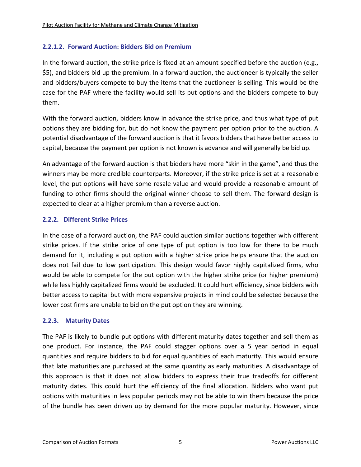### **2.2.1.2. Forward Auction: Bidders Bid on Premium**

In the forward auction, the strike price is fixed at an amount specified before the auction (e.g., \$5), and bidders bid up the premium. In a forward auction, the auctioneer is typically the seller and bidders/buyers compete to buy the items that the auctioneer is selling. This would be the case for the PAF where the facility would sell its put options and the bidders compete to buy them.

With the forward auction, bidders know in advance the strike price, and thus what type of put options they are bidding for, but do not know the payment per option prior to the auction. A potential disadvantage of the forward auction is that it favors bidders that have better access to capital, because the payment per option is not known is advance and will generally be bid up.

An advantage of the forward auction is that bidders have more "skin in the game", and thus the winners may be more credible counterparts. Moreover, if the strike price is set at a reasonable level, the put options will have some resale value and would provide a reasonable amount of funding to other firms should the original winner choose to sell them. The forward design is expected to clear at a higher premium than a reverse auction.

#### **2.2.2. Different Strike Prices**

In the case of a forward auction, the PAF could auction similar auctions together with different strike prices. If the strike price of one type of put option is too low for there to be much demand for it, including a put option with a higher strike price helps ensure that the auction does not fail due to low participation. This design would favor highly capitalized firms, who would be able to compete for the put option with the higher strike price (or higher premium) while less highly capitalized firms would be excluded. It could hurt efficiency, since bidders with better access to capital but with more expensive projects in mind could be selected because the lower cost firms are unable to bid on the put option they are winning.

#### **2.2.3. Maturity Dates**

The PAF is likely to bundle put options with different maturity dates together and sell them as one product. For instance, the PAF could stagger options over a 5 year period in equal quantities and require bidders to bid for equal quantities of each maturity. This would ensure that late maturities are purchased at the same quantity as early maturities. A disadvantage of this approach is that it does not allow bidders to express their true tradeoffs for different maturity dates. This could hurt the efficiency of the final allocation. Bidders who want put options with maturities in less popular periods may not be able to win them because the price of the bundle has been driven up by demand for the more popular maturity. However, since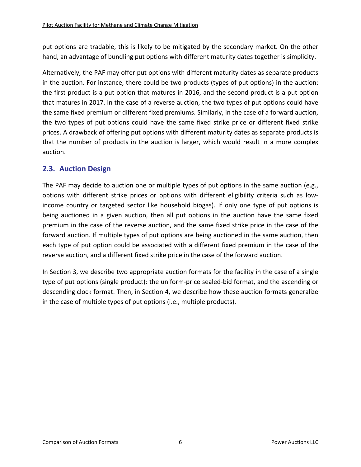put options are tradable, this is likely to be mitigated by the secondary market. On the other hand, an advantage of bundling put options with different maturity dates together is simplicity.

Alternatively, the PAF may offer put options with different maturity dates as separate products in the auction. For instance, there could be two products (types of put options) in the auction: the first product is a put option that matures in 2016, and the second product is a put option that matures in 2017. In the case of a reverse auction, the two types of put options could have the same fixed premium or different fixed premiums. Similarly, in the case of a forward auction, the two types of put options could have the same fixed strike price or different fixed strike prices. A drawback of offering put options with different maturity dates as separate products is that the number of products in the auction is larger, which would result in a more complex auction.

# **2.3. Auction Design**

The PAF may decide to auction one or multiple types of put options in the same auction (e.g., options with different strike prices or options with different eligibility criteria such as low‐ income country or targeted sector like household biogas). If only one type of put options is being auctioned in a given auction, then all put options in the auction have the same fixed premium in the case of the reverse auction, and the same fixed strike price in the case of the forward auction. If multiple types of put options are being auctioned in the same auction, then each type of put option could be associated with a different fixed premium in the case of the reverse auction, and a different fixed strike price in the case of the forward auction.

In Section 3, we describe two appropriate auction formats for the facility in the case of a single type of put options (single product): the uniform‐price sealed‐bid format, and the ascending or descending clock format. Then, in Section 4, we describe how these auction formats generalize in the case of multiple types of put options (i.e., multiple products).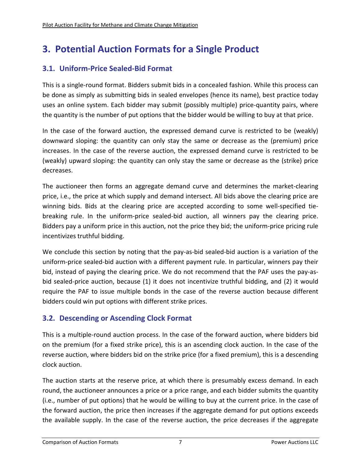# **3. Potential Auction Formats for a Single Product**

# **3.1. Uniform‐Price Sealed‐Bid Format**

This is a single‐round format. Bidders submit bids in a concealed fashion. While this process can be done as simply as submitting bids in sealed envelopes (hence its name), best practice today uses an online system. Each bidder may submit (possibly multiple) price‐quantity pairs, where the quantity is the number of put options that the bidder would be willing to buy at that price.

In the case of the forward auction, the expressed demand curve is restricted to be (weakly) downward sloping: the quantity can only stay the same or decrease as the (premium) price increases. In the case of the reverse auction, the expressed demand curve is restricted to be (weakly) upward sloping: the quantity can only stay the same or decrease as the (strike) price decreases.

The auctioneer then forms an aggregate demand curve and determines the market‐clearing price, i.e., the price at which supply and demand intersect. All bids above the clearing price are winning bids. Bids at the clearing price are accepted according to some well-specified tiebreaking rule. In the uniform‐price sealed‐bid auction, all winners pay the clearing price. Bidders pay a uniform price in this auction, not the price they bid; the uniform‐price pricing rule incentivizes truthful bidding.

We conclude this section by noting that the pay-as-bid sealed-bid auction is a variation of the uniform‐price sealed‐bid auction with a different payment rule. In particular, winners pay their bid, instead of paying the clearing price. We do not recommend that the PAF uses the pay‐as‐ bid sealed-price auction, because (1) it does not incentivize truthful bidding, and (2) it would require the PAF to issue multiple bonds in the case of the reverse auction because different bidders could win put options with different strike prices.

# **3.2. Descending or Ascending Clock Format**

This is a multiple‐round auction process. In the case of the forward auction, where bidders bid on the premium (for a fixed strike price), this is an ascending clock auction. In the case of the reverse auction, where bidders bid on the strike price (for a fixed premium), this is a descending clock auction.

The auction starts at the reserve price, at which there is presumably excess demand. In each round, the auctioneer announces a price or a price range, and each bidder submits the quantity (i.e., number of put options) that he would be willing to buy at the current price. In the case of the forward auction, the price then increases if the aggregate demand for put options exceeds the available supply. In the case of the reverse auction, the price decreases if the aggregate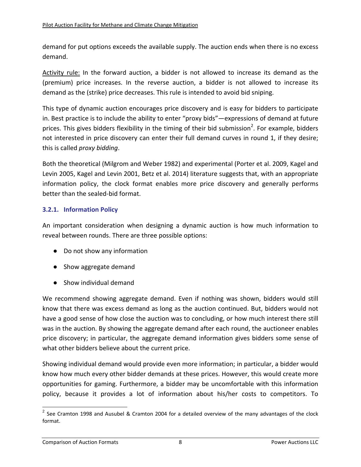demand for put options exceeds the available supply. The auction ends when there is no excess demand.

Activity rule: In the forward auction, a bidder is not allowed to increase its demand as the (premium) price increases. In the reverse auction, a bidder is not allowed to increase its demand as the (strike) price decreases. This rule is intended to avoid bid sniping.

This type of dynamic auction encourages price discovery and is easy for bidders to participate in. Best practice is to include the ability to enter "proxy bids"—expressions of demand at future prices. This gives bidders flexibility in the timing of their bid submission<sup>2</sup>. For example, bidders not interested in price discovery can enter their full demand curves in round 1, if they desire; this is called *proxy bidding*.

Both the theoretical (Milgrom and Weber 1982) and experimental (Porter et al. 2009, Kagel and Levin 2005, Kagel and Levin 2001, Betz et al. 2014) literature suggests that, with an appropriate information policy, the clock format enables more price discovery and generally performs better than the sealed‐bid format.

#### **3.2.1. Information Policy**

An important consideration when designing a dynamic auction is how much information to reveal between rounds. There are three possible options:

- Do not show any information
- Show aggregate demand
- Show individual demand

We recommend showing aggregate demand. Even if nothing was shown, bidders would still know that there was excess demand as long as the auction continued. But, bidders would not have a good sense of how close the auction was to concluding, or how much interest there still was in the auction. By showing the aggregate demand after each round, the auctioneer enables price discovery; in particular, the aggregate demand information gives bidders some sense of what other bidders believe about the current price.

Showing individual demand would provide even more information; in particular, a bidder would know how much every other bidder demands at these prices. However, this would create more opportunities for gaming. Furthermore, a bidder may be uncomfortable with this information policy, because it provides a lot of information about his/her costs to competitors. To

 $2$  See Cramton 1998 and Ausubel & Cramton 2004 for a detailed overview of the many advantages of the clock format.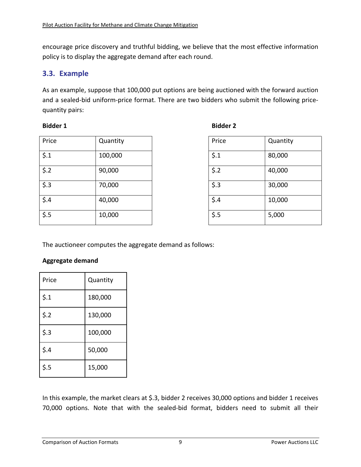encourage price discovery and truthful bidding, we believe that the most effective information policy is to display the aggregate demand after each round.

### **3.3. Example**

As an example, suppose that 100,000 put options are being auctioned with the forward auction and a sealed-bid uniform-price format. There are two bidders who submit the following pricequantity pairs:

#### **Bidder 1 Bidder 2**

| Price      | Quantity | Price                | Quantity |
|------------|----------|----------------------|----------|
| $\zeta$ .1 | 100,000  | $\frac{2}{3}$ .1     | 80,000   |
| \$.2       | 90,000   | \$.2                 | 40,000   |
| \$.3       | 70,000   | $\ddot{\text{S}}$ .3 | 30,000   |
| \$.4       | 40,000   | $\frac{2}{3}$ .4     | 10,000   |
| \$.5       | 10,000   | $\ddot{\text{S}}$ .5 | 5,000    |

| Price            | Quantity |
|------------------|----------|
| $\frac{1}{2}$ .1 | 80,000   |
| \$.2             | 40,000   |
| \$.3             | 30,000   |
| \$.4             | 10,000   |
| \$.5             | 5,000    |

The auctioneer computes the aggregate demand as follows:

### **Aggregate demand**

| Price | Quantity |
|-------|----------|
| \$.1  | 180,000  |
| \$.2  | 130,000  |
| \$.3  | 100,000  |
| \$.4  | 50,000   |
| 5.5   | 15,000   |

In this example, the market clears at \$.3, bidder 2 receives 30,000 options and bidder 1 receives 70,000 options. Note that with the sealed‐bid format, bidders need to submit all their

| neer computes the aggrega |  |  |
|---------------------------|--|--|
|                           |  |  |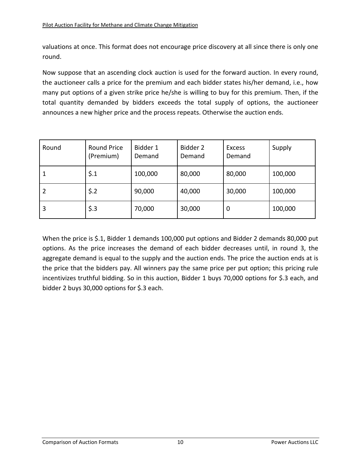valuations at once. This format does not encourage price discovery at all since there is only one round.

Now suppose that an ascending clock auction is used for the forward auction. In every round, the auctioneer calls a price for the premium and each bidder states his/her demand, i.e., how many put options of a given strike price he/she is willing to buy for this premium. Then, if the total quantity demanded by bidders exceeds the total supply of options, the auctioneer announces a new higher price and the process repeats. Otherwise the auction ends.

| Round | <b>Round Price</b><br>(Premium) | Bidder 1<br>Demand | Bidder 2<br>Demand | <b>Excess</b><br>Demand | Supply  |
|-------|---------------------------------|--------------------|--------------------|-------------------------|---------|
|       | $\frac{2}{1}$                   | 100,000            | 80,000             | 80,000                  | 100,000 |
| 2     | \$.2                            | 90,000             | 40,000             | 30,000                  | 100,000 |
| 3     | \$.3                            | 70,000             | 30,000             | 0                       | 100,000 |

When the price is \$.1, Bidder 1 demands 100,000 put options and Bidder 2 demands 80,000 put options. As the price increases the demand of each bidder decreases until, in round 3, the aggregate demand is equal to the supply and the auction ends. The price the auction ends at is the price that the bidders pay. All winners pay the same price per put option; this pricing rule incentivizes truthful bidding. So in this auction, Bidder 1 buys 70,000 options for \$.3 each, and bidder 2 buys 30,000 options for \$.3 each.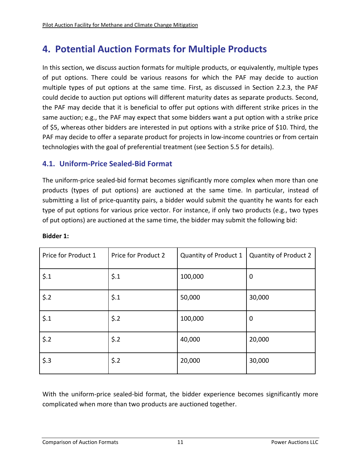# **4. Potential Auction Formats for Multiple Products**

In this section, we discuss auction formats for multiple products, or equivalently, multiple types of put options. There could be various reasons for which the PAF may decide to auction multiple types of put options at the same time. First, as discussed in Section 2.2.3, the PAF could decide to auction put options will different maturity dates as separate products. Second, the PAF may decide that it is beneficial to offer put options with different strike prices in the same auction; e.g., the PAF may expect that some bidders want a put option with a strike price of \$5, whereas other bidders are interested in put options with a strike price of \$10. Third, the PAF may decide to offer a separate product for projects in low-income countries or from certain technologies with the goal of preferential treatment (see Section 5.5 for details).

### **4.1. Uniform‐Price Sealed‐Bid Format**

The uniform‐price sealed‐bid format becomes significantly more complex when more than one products (types of put options) are auctioned at the same time. In particular, instead of submitting a list of price‐quantity pairs, a bidder would submit the quantity he wants for each type of put options for various price vector. For instance, if only two products (e.g., two types of put options) are auctioned at the same time, the bidder may submit the following bid:

| Price for Product 1 | Price for Product 2 | Quantity of Product 1 | Quantity of Product 2 |
|---------------------|---------------------|-----------------------|-----------------------|
| $\frac{1}{2}$ .1    | $\frac{1}{2}$ .1    | 100,000               | $\mathbf 0$           |
| $$.2$               | $\frac{1}{2}$ .1    | 50,000                | 30,000                |
| $\frac{1}{2}$ .1    | \$.2                | 100,000               | $\mathbf 0$           |
| \$.2                | \$.2                | 40,000                | 20,000                |
| \$.3                | $$.2$               | 20,000                | 30,000                |

**Bidder 1:**

With the uniform-price sealed-bid format, the bidder experience becomes significantly more complicated when more than two products are auctioned together.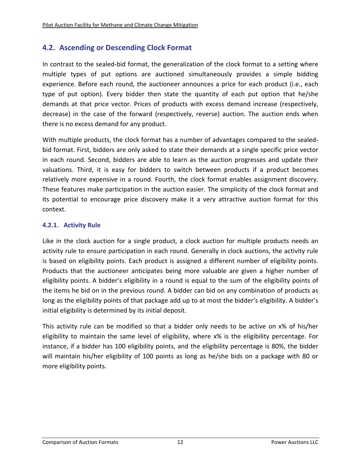# **4.2. Ascending or Descending Clock Format**

In contrast to the sealed‐bid format, the generalization of the clock format to a setting where multiple types of put options are auctioned simultaneously provides a simple bidding experience. Before each round, the auctioneer announces a price for each product (i.e., each type of put option). Every bidder then state the quantity of each put option that he/she demands at that price vector. Prices of products with excess demand increase (respectively, decrease) in the case of the forward (respectively, reverse) auction. The auction ends when there is no excess demand for any product.

With multiple products, the clock format has a number of advantages compared to the sealedbid format. First, bidders are only asked to state their demands at a single specific price vector in each round. Second, bidders are able to learn as the auction progresses and update their valuations. Third, it is easy for bidders to switch between products if a product becomes relatively more expensive in a round. Fourth, the clock format enables assignment discovery. These features make participation in the auction easier. The simplicity of the clock format and its potential to encourage price discovery make it a very attractive auction format for this context.

#### **4.2.1. Activity Rule**

Like in the clock auction for a single product, a clock auction for multiple products needs an activity rule to ensure participation in each round. Generally in clock auctions, the activity rule is based on eligibility points. Each product is assigned a different number of eligibility points. Products that the auctioneer anticipates being more valuable are given a higher number of eligibility points. A bidder's eligibility in a round is equal to the sum of the eligibility points of the items he bid on in the previous round. A bidder can bid on any combination of products as long as the eligibility points of that package add up to at most the bidder's eligibility. A bidder's initial eligibility is determined by its initial deposit.

This activity rule can be modified so that a bidder only needs to be active on x% of his/her eligibility to maintain the same level of eligibility, where x% is the eligibility percentage. For instance, if a bidder has 100 eligibility points, and the eligibility percentage is 80%, the bidder will maintain his/her eligibility of 100 points as long as he/she bids on a package with 80 or more eligibility points.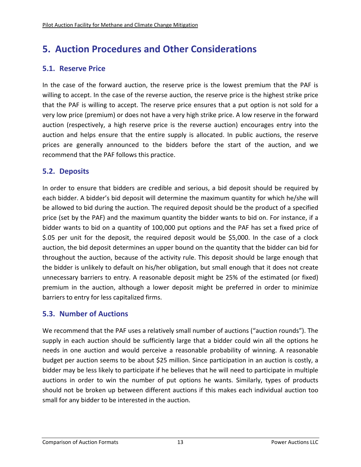# **5. Auction Procedures and Other Considerations**

# **5.1. Reserve Price**

In the case of the forward auction, the reserve price is the lowest premium that the PAF is willing to accept. In the case of the reverse auction, the reserve price is the highest strike price that the PAF is willing to accept. The reserve price ensures that a put option is not sold for a very low price (premium) or does not have a very high strike price. A low reserve in the forward auction (respectively, a high reserve price is the reverse auction) encourages entry into the auction and helps ensure that the entire supply is allocated. In public auctions, the reserve prices are generally announced to the bidders before the start of the auction, and we recommend that the PAF follows this practice.

# **5.2. Deposits**

In order to ensure that bidders are credible and serious, a bid deposit should be required by each bidder. A bidder's bid deposit will determine the maximum quantity for which he/she will be allowed to bid during the auction. The required deposit should be the product of a specified price (set by the PAF) and the maximum quantity the bidder wants to bid on. For instance, if a bidder wants to bid on a quantity of 100,000 put options and the PAF has set a fixed price of \$.05 per unit for the deposit, the required deposit would be \$5,000. In the case of a clock auction, the bid deposit determines an upper bound on the quantity that the bidder can bid for throughout the auction, because of the activity rule. This deposit should be large enough that the bidder is unlikely to default on his/her obligation, but small enough that it does not create unnecessary barriers to entry. A reasonable deposit might be 25% of the estimated (or fixed) premium in the auction, although a lower deposit might be preferred in order to minimize barriers to entry for less capitalized firms.

# **5.3. Number of Auctions**

We recommend that the PAF uses a relatively small number of auctions ("auction rounds"). The supply in each auction should be sufficiently large that a bidder could win all the options he needs in one auction and would perceive a reasonable probability of winning. A reasonable budget per auction seems to be about \$25 million. Since participation in an auction is costly, a bidder may be less likely to participate if he believes that he will need to participate in multiple auctions in order to win the number of put options he wants. Similarly, types of products should not be broken up between different auctions if this makes each individual auction too small for any bidder to be interested in the auction.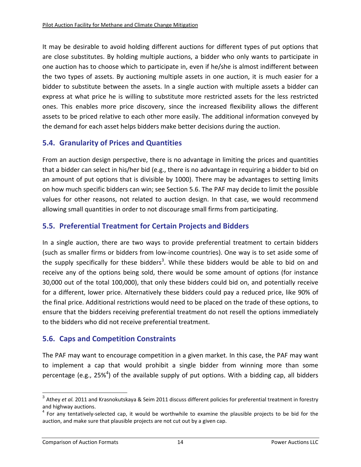It may be desirable to avoid holding different auctions for different types of put options that are close substitutes. By holding multiple auctions, a bidder who only wants to participate in one auction has to choose which to participate in, even if he/she is almost indifferent between the two types of assets. By auctioning multiple assets in one auction, it is much easier for a bidder to substitute between the assets. In a single auction with multiple assets a bidder can express at what price he is willing to substitute more restricted assets for the less restricted ones. This enables more price discovery, since the increased flexibility allows the different assets to be priced relative to each other more easily. The additional information conveyed by the demand for each asset helps bidders make better decisions during the auction.

# **5.4. Granularity of Prices and Quantities**

From an auction design perspective, there is no advantage in limiting the prices and quantities that a bidder can select in his/her bid (e.g., there is no advantage in requiring a bidder to bid on an amount of put options that is divisible by 1000). There may be advantages to setting limits on how much specific bidders can win; see Section 5.6. The PAF may decide to limit the possible values for other reasons, not related to auction design. In that case, we would recommend allowing small quantities in order to not discourage small firms from participating.

# **5.5. Preferential Treatment for Certain Projects and Bidders**

In a single auction, there are two ways to provide preferential treatment to certain bidders (such as smaller firms or bidders from low‐income countries). One way is to set aside some of the supply specifically for these bidders<sup>3</sup>. While these bidders would be able to bid on and receive any of the options being sold, there would be some amount of options (for instance 30,000 out of the total 100,000), that only these bidders could bid on, and potentially receive for a different, lower price. Alternatively these bidders could pay a reduced price, like 90% of the final price. Additional restrictions would need to be placed on the trade of these options, to ensure that the bidders receiving preferential treatment do not resell the options immediately to the bidders who did not receive preferential treatment.

# **5.6. Caps and Competition Constraints**

The PAF may want to encourage competition in a given market. In this case, the PAF may want to implement a cap that would prohibit a single bidder from winning more than some percentage (e.g., 25%<sup>4</sup>) of the available supply of put options. With a bidding cap, all bidders

<sup>3</sup> Athey *et al.* 2011 and Krasnokutskaya & Seim 2011 discuss different policies for preferential treatment in forestry and highway auctions.<br><sup>4</sup> For any tentatively-selected cap, it would be worthwhile to examine the plausible projects to be bid for the

auction, and make sure that plausible projects are not cut out by a given cap.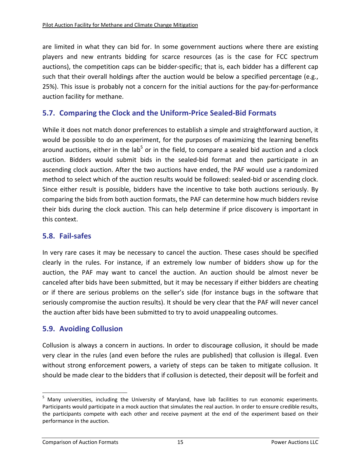are limited in what they can bid for. In some government auctions where there are existing players and new entrants bidding for scarce resources (as is the case for FCC spectrum auctions), the competition caps can be bidder‐specific; that is, each bidder has a different cap such that their overall holdings after the auction would be below a specified percentage (e.g., 25%). This issue is probably not a concern for the initial auctions for the pay‐for‐performance auction facility for methane.

### **5.7. Comparing the Clock and the Uniform‐Price Sealed‐Bid Formats**

While it does not match donor preferences to establish a simple and straightforward auction, it would be possible to do an experiment, for the purposes of maximizing the learning benefits around auctions, either in the lab<sup>5</sup> or in the field, to compare a sealed bid auction and a clock auction. Bidders would submit bids in the sealed-bid format and then participate in an ascending clock auction. After the two auctions have ended, the PAF would use a randomized method to select which of the auction results would be followed: sealed‐bid or ascending clock. Since either result is possible, bidders have the incentive to take both auctions seriously. By comparing the bids from both auction formats, the PAF can determine how much bidders revise their bids during the clock auction. This can help determine if price discovery is important in this context.

### **5.8. Fail‐safes**

In very rare cases it may be necessary to cancel the auction. These cases should be specified clearly in the rules. For instance, if an extremely low number of bidders show up for the auction, the PAF may want to cancel the auction. An auction should be almost never be canceled after bids have been submitted, but it may be necessary if either bidders are cheating or if there are serious problems on the seller's side (for instance bugs in the software that seriously compromise the auction results). It should be very clear that the PAF will never cancel the auction after bids have been submitted to try to avoid unappealing outcomes.

### **5.9. Avoiding Collusion**

Collusion is always a concern in auctions. In order to discourage collusion, it should be made very clear in the rules (and even before the rules are published) that collusion is illegal. Even without strong enforcement powers, a variety of steps can be taken to mitigate collusion. It should be made clear to the bidders that if collusion is detected, their deposit will be forfeit and

<sup>&</sup>lt;sup>5</sup> Many universities, including the University of Maryland, have lab facilities to run economic experiments. Participants would participate in a mock auction that simulates the real auction. In order to ensure credible results, the participants compete with each other and receive payment at the end of the experiment based on their performance in the auction.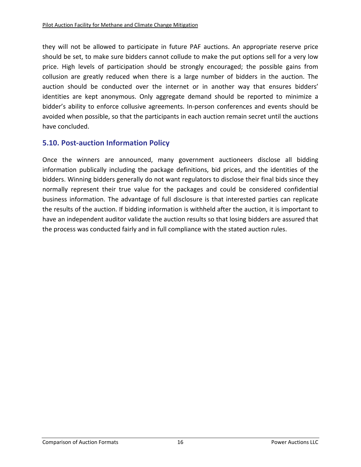they will not be allowed to participate in future PAF auctions. An appropriate reserve price should be set, to make sure bidders cannot collude to make the put options sell for a very low price. High levels of participation should be strongly encouraged; the possible gains from collusion are greatly reduced when there is a large number of bidders in the auction. The auction should be conducted over the internet or in another way that ensures bidders' identities are kept anonymous. Only aggregate demand should be reported to minimize a bidder's ability to enforce collusive agreements. In‐person conferences and events should be avoided when possible, so that the participants in each auction remain secret until the auctions have concluded.

# **5.10. Post‐auction Information Policy**

Once the winners are announced, many government auctioneers disclose all bidding information publically including the package definitions, bid prices, and the identities of the bidders. Winning bidders generally do not want regulators to disclose their final bids since they normally represent their true value for the packages and could be considered confidential business information. The advantage of full disclosure is that interested parties can replicate the results of the auction. If bidding information is withheld after the auction, it is important to have an independent auditor validate the auction results so that losing bidders are assured that the process was conducted fairly and in full compliance with the stated auction rules.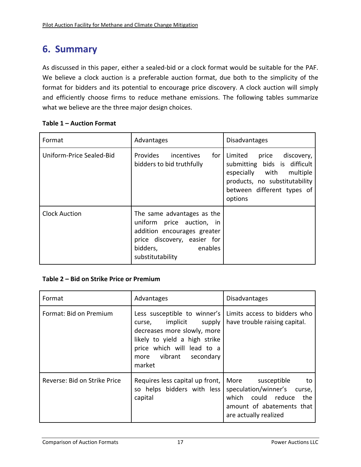# **6. Summary**

As discussed in this paper, either a sealed‐bid or a clock format would be suitable for the PAF. We believe a clock auction is a preferable auction format, due both to the simplicity of the format for bidders and its potential to encourage price discovery. A clock auction will simply and efficiently choose firms to reduce methane emissions. The following tables summarize what we believe are the three major design choices.

#### **Table 1 – Auction Format**

| Format                   | Advantages                                                                                                                                                                                                                                                                                                                                                                                   | <b>Disadvantages</b>                                                                                                                                                    |
|--------------------------|----------------------------------------------------------------------------------------------------------------------------------------------------------------------------------------------------------------------------------------------------------------------------------------------------------------------------------------------------------------------------------------------|-------------------------------------------------------------------------------------------------------------------------------------------------------------------------|
| Uniform-Price Sealed-Bid | Provides<br>for<br>incentives<br>bidders to bid truthfully                                                                                                                                                                                                                                                                                                                                   | Limited<br>discovery,<br>price<br>submitting bids is difficult<br>especially with<br>multiple<br>products, no substitutability<br>between different types of<br>options |
| <b>Clock Auction</b>     | The same advantages as the<br>uniform price auction, in<br>addition encourages greater<br>price discovery, easier for<br>bidders,<br><b>Example 1</b> Separate points and the set of the set of the set of the set of the set of the set of the set of the set of the set of the set of the set of the set of the set of the set of the set of the set of the set of the<br>substitutability |                                                                                                                                                                         |

### **Table 2 – Bid on Strike Price or Premium**

| Format                       | Advantages                                                                                                                                                                                     | <b>Disadvantages</b>                                                                                                                           |
|------------------------------|------------------------------------------------------------------------------------------------------------------------------------------------------------------------------------------------|------------------------------------------------------------------------------------------------------------------------------------------------|
| Format: Bid on Premium       | Less susceptible to winner's<br>implicit<br>supply<br>curse,<br>decreases more slowly, more<br>likely to yield a high strike<br>price which will lead to a<br>more vibrant secondary<br>market | Limits access to bidders who<br>have trouble raising capital.                                                                                  |
| Reverse: Bid on Strike Price | Requires less capital up front,<br>so helps bidders with less<br>capital                                                                                                                       | More<br>susceptible<br>to<br>speculation/winner's curse,<br>could reduce<br>which<br>the<br>amount of abatements that<br>are actually realized |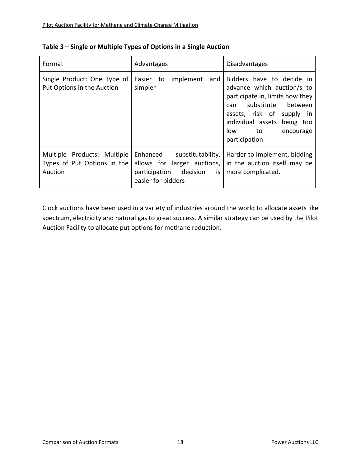| Format                                                                | Advantages                                                                                                         | <b>Disadvantages</b>                                                                                                                                                                                                                        |
|-----------------------------------------------------------------------|--------------------------------------------------------------------------------------------------------------------|---------------------------------------------------------------------------------------------------------------------------------------------------------------------------------------------------------------------------------------------|
| Single Product: One Type of<br>Put Options in the Auction             | implement<br>Easier<br>and<br>to<br>simpler                                                                        | Bidders have to decide in<br>advance which auction/s to<br>participate in, limits how they<br>substitute<br>between<br>can<br>assets, risk of<br>supply<br>-in<br>individual assets<br>being too<br>low<br>to<br>encourage<br>participation |
| Multiple Products: Multiple<br>Types of Put Options in the<br>Auction | Enhanced substitutability,<br>allows for larger auctions,<br>decision<br>participation<br>is<br>easier for bidders | Harder to implement, bidding<br>in the auction itself may be<br>more complicated.                                                                                                                                                           |

Clock auctions have been used in a variety of industries around the world to allocate assets like spectrum, electricity and natural gas to great success. A similar strategy can be used by the Pilot Auction Facility to allocate put options for methane reduction.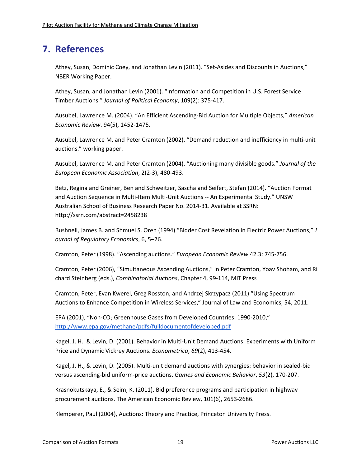# **7. References**

Athey, Susan, Dominic Coey, and Jonathan Levin (2011). "Set‐Asides and Discounts in Auctions," NBER Working Paper.

Athey, Susan, and Jonathan Levin (2001). "Information and Competition in U.S. Forest Service Timber Auctions." *Journal of Political Economy*, 109(2): 375‐417.

Ausubel, Lawrence M. (2004). "An Efficient Ascending‐Bid Auction for Multiple Objects," *American Economic Review*. 94(5), 1452‐1475.

Ausubel, Lawrence M. and Peter Cramton (2002). "Demand reduction and inefficiency in multi‐unit auctions." working paper.

Ausubel, Lawrence M. and Peter Cramton (2004). "Auctioning many divisible goods." *Journal of the European Economic Association*, 2(2‐3), 480‐493.

Betz, Regina and Greiner, Ben and Schweitzer, Sascha and Seifert, Stefan (2014). "Auction Format and Auction Sequence in Multi‐Item Multi‐Unit Auctions ‐‐ An Experimental Study." UNSW Australian School of Business Research Paper No. 2014‐31. Available at SSRN: http://ssrn.com/abstract=2458238

Bushnell, James B. and Shmuel S. Oren (1994) "Bidder Cost Revelation in Electric Power Auctions," *J ournal of Regulatory Economics*, 6, 5–26.

Cramton, Peter (1998). "Ascending auctions." *European Economic Review* 42.3: 745‐756.

Cramton, Peter (2006), "Simultaneous Ascending Auctions," in Peter Cramton, Yoav Shoham, and Ri chard Steinberg (eds.), *Combinatorial Auctions*, Chapter 4, 99‐114, MIT Press

Cramton, Peter, Evan Kwerel, Greg Rosston, and Andrzej Skrzypacz (2011) "Using Spectrum Auctions to Enhance Competition in Wireless Services," Journal of Law and Economics, 54, 2011.

EPA (2001), "Non-CO<sub>2</sub> Greenhouse Gases from Developed Countries: 1990-2010," http://www.epa.gov/methane/pdfs/fulldocumentofdeveloped.pdf

Kagel, J. H., & Levin, D. (2001). Behavior in Multi‐Unit Demand Auctions: Experiments with Uniform Price and Dynamic Vickrey Auctions. *Econometrica*, *69*(2), 413‐454.

Kagel, J. H., & Levin, D. (2005). Multi‐unit demand auctions with synergies: behavior in sealed‐bid versus ascending‐bid uniform‐price auctions. *Games and Economic Behavior*, *53*(2), 170‐207.

Krasnokutskaya, E., & Seim, K. (2011). Bid preference programs and participation in highway procurement auctions. The American Economic Review, 101(6), 2653‐2686.

Klemperer, Paul (2004), Auctions: Theory and Practice, Princeton University Press.